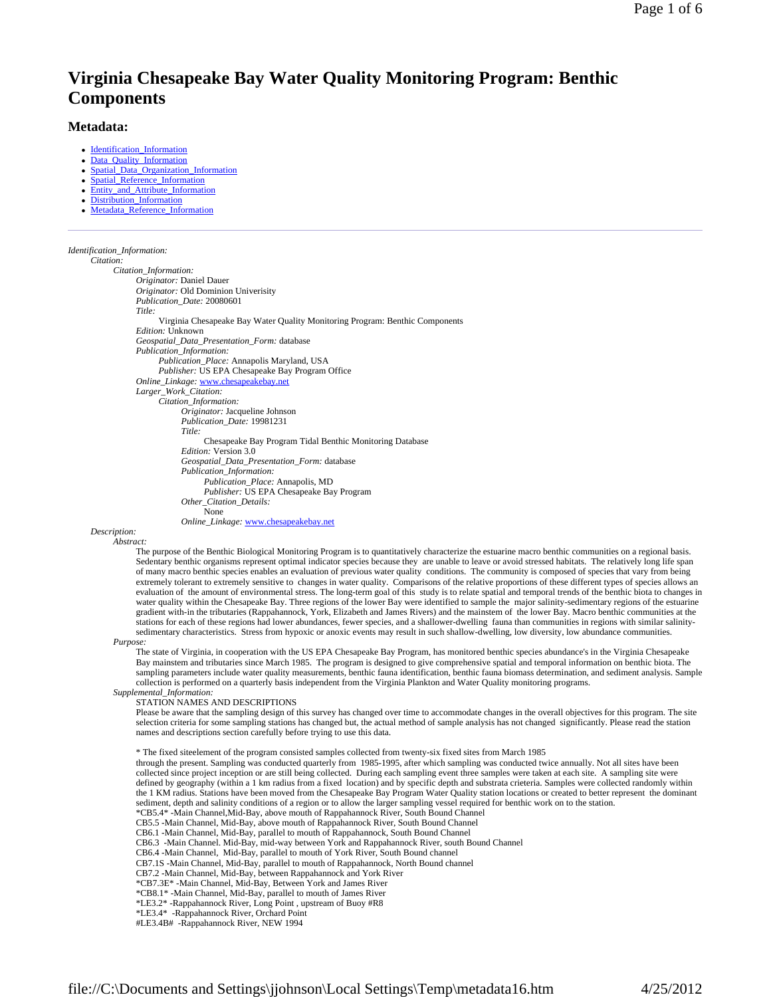# **Virginia Chesapeake Bay Water Quality Monitoring Program: Benthic Components**

# **Metadata:**

- Identification\_Information
- Data\_Quality\_Information
- Spatial\_Data\_Organization\_Information Spatial Reference Information
- Entity and Attribute Information
- Distribution\_Information
- Metadata\_Reference\_Information

*Identification\_Information: Citation:*

*Citation\_Information: Originator:* Daniel Dauer *Originator:* Old Dominion Univerisity *Publication\_Date:* 20080601 *Title:* Virginia Chesapeake Bay Water Quality Monitoring Program: Benthic Components *Edition:* Unknown *Geospatial\_Data\_Presentation\_Form:* database *Publication\_Information: Publication\_Place:* Annapolis Maryland, USA *Publisher:* US EPA Chesapeake Bay Program Office *Online\_Linkage:* www.chesapeakebay.net *Larger\_Work\_Citation: Citation\_Information: Originator:* Jacqueline Johnson *Publication\_Date:* 19981231 *Title:* Chesapeake Bay Program Tidal Benthic Monitoring Database *Edition:* Version 3.0 *Geospatial\_Data\_Presentation\_Form:* database *Publication\_Information: Publication\_Place:* Annapolis, MD *Publisher:* US EPA Chesapeake Bay Program *Other\_Citation\_Details:* None *Online\_Linkage:* www.chesapeakebay.net

*Description:*

*Abstract:*

The purpose of the Benthic Biological Monitoring Program is to quantitatively characterize the estuarine macro benthic communities on a regional basis. Sedentary benthic organisms represent optimal indicator species because they are unable to leave or avoid stressed habitats. The relatively long life span of many macro benthic species enables an evaluation of previous water quality conditions. The community is composed of species that vary from being extremely tolerant to extremely sensitive to changes in water quality. Comparisons of the relative proportions of these different types of species allows an evaluation of the amount of environmental stress. The long-term g water quality within the Chesapeake Bay. Three regions of the lower Bay were identified to sample the major salinity-sedimentary regions of the estuarine gradient with-in the tributaries (Rappahannock, York, Elizabeth and James Rivers) and the mainstem of the lower Bay. Macro benthic communities at the<br>stations for each of these regions had lower abundances, fewer species, sedimentary characteristics. Stress from hypoxic or anoxic events may result in such shallow-dwelling, low diversity, low abundance communities.

*Purpose:*

The state of Virginia, in cooperation with the US EPA Chesapeake Bay Program, has monitored benthic species abundance's in the Virginia Chesapeake Bay mainstem and tributaries since March 1985. The program is designed to give comprehensive spatial and temporal information on benthic biota. The sampling parameters include water quality measurements, benthic fauna identification, benthic fauna biomass determination, and sediment analysis. Sample collection is performed on a quarterly basis independent from the Virginia Plankton and Water Quality monitoring programs.

*Supplemental\_Information:*

STATION NAMES AND DESCRIPTIONS

Please be aware that the sampling design of this survey has changed over time to accommodate changes in the overall objectives for this program. The site selection criteria for some sampling stations has changed but, the actual method of sample analysis has not changed significantly. Please read the station names and descriptions section carefully before trying to use this data.

\* The fixed siteelement of the program consisted samples collected from twenty-six fixed sites from March 1985

through the present. Sampling was conducted quarterly from 1985-1995, after which sampling was conducted twice annually. Not all sites have been collected since project inception or are still being collected. During each sampling event three samples were taken at each site. A sampling site were defined by geography (within a 1 km radius from a fixed location) and by specific depth and substrata crieteria. Samples were collected randomly within the 1 KM radius. Stations have been moved from the Chesapeake Bay Program Water Quality station locations or created to better represent the dominant sediment, depth and salinity conditions of a region or to allow the larger sampling vessel required for benthic work on to the station.

\*CB5.4\* -Main Channel,Mid-Bay, above mouth of Rappahannock River, South Bound Channel

CB5.5 -Main Channel, Mid-Bay, above mouth of Rappahannock River, South Bound Channel

CB6.1 -Main Channel, Mid-Bay, parallel to mouth of Rappahannock, South Bound Channel

CB6.3 -Main Channel. Mid-Bay, mid-way between York and Rappahannock River, south Bound Channel

CB6.4 -Main Channel, Mid-Bay, parallel to mouth of York River, South Bound channel

CB7.1S -Main Channel, Mid-Bay, parallel to mouth of Rappahannock, North Bound channel

CB7.2 -Main Channel, Mid-Bay, between Rappahannock and York River

\*CB7.3E\* -Main Channel, Mid-Bay, Between York and James River

\*CB8.1\* -Main Channel, Mid-Bay, parallel to mouth of James River

\*LE3.2\* -Rappahannock River, Long Point , upstream of Buoy #R8

\*LE3.4\* -Rappahannock River, Orchard Point

#LE3.4B# -Rappahannock River, NEW 1994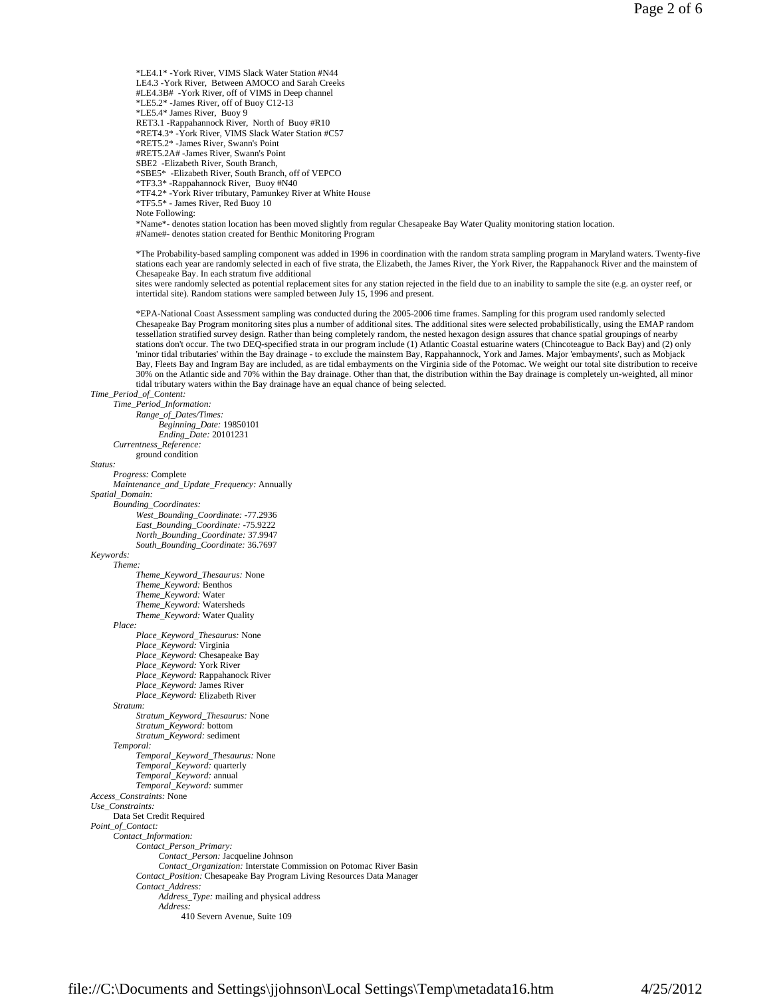\*LE4.1\* -York River, VIMS Slack Water Station #N44 LE4.3 -York River, Between AMOCO and Sarah Creeks #LE4.3B# -York River, off of VIMS in Deep channel \*LE5.2\* -James River, off of Buoy C12-13 \*LE5.4\* James River, Buoy 9 RET3.1 -Rappahannock River, North of Buoy #R10 \*RET4.3\* -York River, VIMS Slack Water Station #C57

\*RET5.2\* -James River, Swann's Point

#RET5.2A# -James River, Swann's Point

SBE2 -Elizabeth River, South Branch,

\*SBE5\* -Elizabeth River, South Branch, off of VEPCO

\*TF3.3\* -Rappahannock River, Buoy #N40

\*TF4.2\* -York River tributary, Pamunkey River at White House

\*TF5.5\* - James River, Red Buoy 10 Note Following:

\*Name\*- denotes station location has been moved slightly from regular Chesapeake Bay Water Quality monitoring station location. #Name#- denotes station created for Benthic Monitoring Program

\*The Probability-based sampling component was added in 1996 in coordination with the random strata sampling program in Maryland waters. Twenty-five stations each year are randomly selected in each of five strata, the Elizabeth, the James River, the York River, the Rappahanock River and the mainstem of Chesapeake Bay. In each stratum five additional

sites were randomly selected as potential replacement sites for any station rejected in the field due to an inability to sample the site (e.g. an oyster reef, or intertidal site). Random stations were sampled between July 15, 1996 and present.

\*EPA-National Coast Assessment sampling was conducted during the 2005-2006 time frames. Sampling for this program used randomly selected Chesapeake Bay Program monitoring sites plus a number of additional sites. The additional sites were selected probabilistically, using the EMAP random tessellation stratified survey design. Rather than being completely random, the nested hexagon design assures that chance spatial groupings of nearby stations don't occur. The two DEQ-specified strata in our program include (1) Atlantic Coastal estuarine waters (Chincoteague to Back Bay) and (2) only 'minor tidal tributaries' within the Bay drainage - to exclude the mainstem Bay, Rappahannock, York and James. Major 'embayments', such as Mobjack Bay, Fleets Bay and Ingram Bay are included, as are tidal embayments on the Virginia side of the Potomac. We weight our total site distribution to receive 30% on the Atlantic side and 70% within the Bay drainage. Other than that, the distribution within the Bay drainage is completely un-weighted, all minor tidal tributary waters within the Bay drainage have an equal chance of being selected.

## *Time\_Period\_of\_Content:*

*Time\_Period\_Information: Range\_of\_Dates/Times: Beginning\_Date:* 19850101 *Ending\_Date:* 20101231

*Currentness\_Reference:* ground condition

#### *Status:*

# *Progress:* Complete

*Maintenance\_and\_Update\_Frequency:* Annually *Spatial\_Domain: Bounding\_Coordinates: West\_Bounding\_Coordinate:* -77.2936 *East\_Bounding\_Coordinate:* -75.9222 *North\_Bounding\_Coordinate:* 37.9947 *South\_Bounding\_Coordinate:* 36.7697

# *Keywords:*

*Theme: Theme\_Keyword\_Thesaurus:* None *Theme\_Keyword:* Benthos *Theme\_Keyword:* Water *Theme\_Keyword:* Watersheds *Theme\_Keyword:* Water Quality *Place: Place\_Keyword\_Thesaurus:* None *Place\_Keyword:* Virginia *Place\_Keyword:* Chesapeake Bay *Place\_Keyword:* York River *Place\_Keyword:* Rappahanock River *Place\_Keyword:* James River *Place\_Keyword:* Elizabeth River *Stratum: Stratum\_Keyword\_Thesaurus:* None *Stratum\_Keyword:* bottom *Stratum\_Keyword:* sediment *Temporal: Temporal\_Keyword\_Thesaurus:* None *Temporal\_Keyword:* quarterly *Temporal\_Keyword:* annual *Temporal\_Keyword:* summer *Access\_Constraints:* None *Use\_Constraints:* Data Set Credit Required *Point\_of\_Contact: Contact\_Information: Contact\_Person\_Primary: Contact\_Person:* Jacqueline Johnson *Contact\_Organization:* Interstate Commission on Potomac River Basin *Contact\_Position:* Chesapeake Bay Program Living Resources Data Manager *Contact\_Address: Address\_Type:* mailing and physical address *Address:*

410 Severn Avenue, Suite 109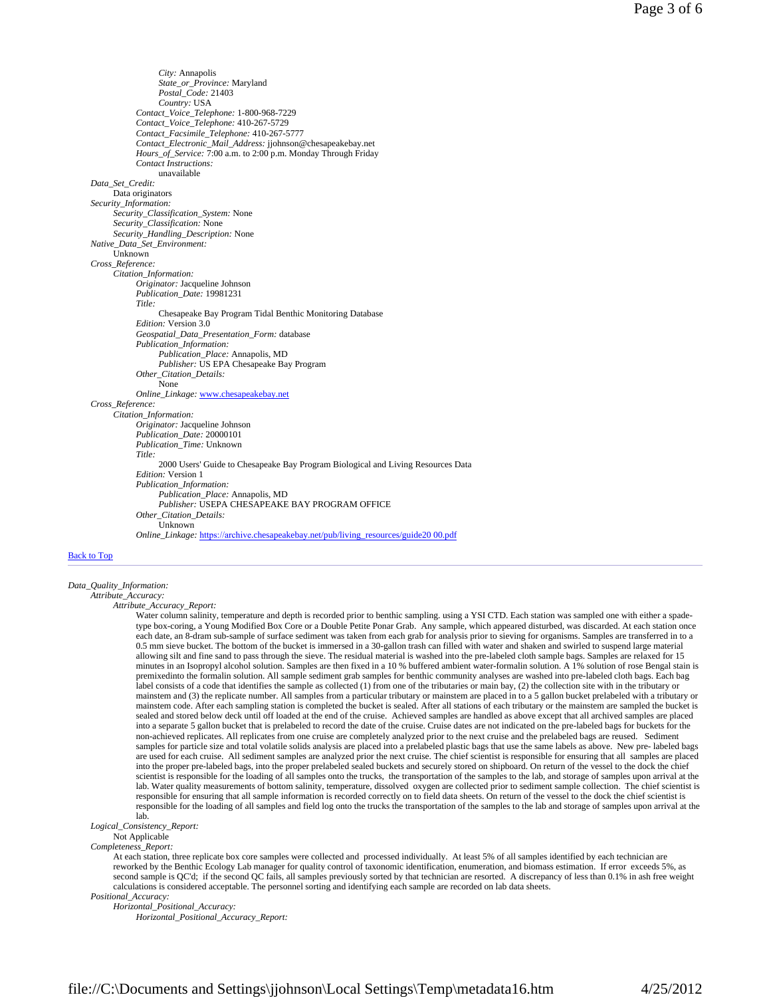*City:* Annapolis *State\_or\_Province:* Maryland *Postal\_Code:* 21403 *Country:* USA *Contact\_Voice\_Telephone:* 1-800-968-7229 *Contact\_Voice\_Telephone:* 410-267-5729 *Contact\_Facsimile\_Telephone:* 410-267-5777 *Contact\_Electronic\_Mail\_Address:* jjohnson@chesapeakebay.net *Hours\_of\_Service:* 7:00 a.m. to 2:00 p.m. Monday Through Friday *Contact Instructions:* unavailable *Data\_Set\_Credit:* Data originators *Security\_Information: Security\_Classification\_System:* None *Security\_Classification:* None *Security\_Handling\_Description:* None *Native\_Data\_Set\_Environment:* Unknown *Cross\_Reference: Citation\_Information: Originator:* Jacqueline Johnson *Publication\_Date:* 19981231 *Title:* Chesapeake Bay Program Tidal Benthic Monitoring Database *Edition:* Version 3.0 *Geospatial\_Data\_Presentation\_Form:* database *Publication\_Information: Publication\_Place:* Annapolis, MD *Publisher:* US EPA Chesapeake Bay Program *Other\_Citation\_Details:* None *Online\_Linkage:* www.chesapeakebay.net *Cross\_Reference: Citation\_Information: Originator:* Jacqueline Johnson *Publication\_Date:* 20000101 *Publication\_Time:* Unknown *Title:* 2000 Users' Guide to Chesapeake Bay Program Biological and Living Resources Data *Edition:* Version 1 *Publication\_Information: Publication\_Place:* Annapolis, MD *Publisher:* USEPA CHESAPEAKE BAY PROGRAM OFFICE *Other\_Citation\_Details:* Unknown *Online\_Linkage:* https://archive.chesapeakebay.net/pub/living\_resources/guide20 00.pdf

#### Back to Top

#### *Data\_Quality\_Information:*

*Attribute\_Accuracy:*

*Attribute\_Accuracy\_Report:*

Water column salinity, temperature and depth is recorded prior to benthic sampling. using a YSI CTD. Each station was sampled one with either a spadetype box-coring, a Young Modified Box Core or a Double Petite Ponar Grab. Any sample, which appeared disturbed, was discarded. At each station once each date, an 8-dram sub-sample of surface sediment was taken from each grab for analysis prior to sieving for organisms. Samples are transferred in to a 0.5 mm sieve bucket. The bottom of the bucket is immersed in a 30-gallon trash can filled with water and shaken and swirled to suspend large material 0.5 mm sieve bucket. The bottom of the bucket is immersed in a 30-gallon allowing silt and fine sand to pass through the sieve. The residual material is washed into the pre-labeled cloth sample bags. Samples are relaxed for 15 minutes in an Isopropyl alcohol solution. Samples are then fixed in a 10 % buffered ambient water-formalin solution. A 1% solution of rose Bengal stain is premixedinto the formalin solution. All sample sediment grab samples for benthic community analyses are washed into pre-labeled cloth bags. Each bag label consists of a code that identifies the sample as collected (1) from one of the tributaries or main bay, (2) the collection site with in the tributary or mainstem and (3) the replicate number. All samples from a particular tributary or mainstem are placed in to a 5 gallon bucket prelabeled with a tributary or mainstem code. After each sampling station is completed the bucket is sealed. After all stations of each tributary or the mainstem are sampled the bucket is sealed and stored below deck until off loaded at the end of the cruise. Achieved samples are handled as above except that all archived samples are placed into a separate 5 gallon bucket that is prelabeled to record the date of the cruise. Cruise dates are not indicated on the pre-labeled bags for buckets for the non-achieved replicates. All replicates from one cruise are completely analyzed prior to the next cruise and the prelabeled bags are reused. Sediment samples for particle size and total volatile solids analysis are placed into a prelabeled plastic bags that use the same labels as above. New pre- labeled bags are used for each cruise. All sediment samples are analyzed prior the next cruise. The chief scientist is responsible for ensuring that all samples are placed into the proper pre-labeled bags, into the proper prelabeled sealed buckets and securely stored on shipboard. On return of the vessel to the dock the chief scientist is responsible for the loading of all samples onto the trucks, the transportation of the samples to the lab, and storage of samples upon arrival at the lab. Water quality measurements of bottom salinity, temperature, dissolved oxygen are collected prior to sediment sample collection. The chief scientist is responsible for ensuring that all sample information is recorded correctly on to field data sheets. On return of the vessel to the dock the chief scientist is responsible for the loading of all samples and field log onto the trucks the transportation of the samples to the lab and storage of samples upon arrival at the lab.

*Logical\_Consistency\_Report:*

#### Not Applicable

*Completeness\_Report:*

At each station, three replicate box core samples were collected and processed individually. At least 5% of all samples identified by each technician are reworked by the Benthic Ecology Lab manager for quality control of taxonomic identification, enumeration, and biomass estimation. If error exceeds 5%, as second sample is QC'd; if the second QC fails, all samples previously sorted by that technician are resorted. A discrepancy of less than 0.1% in ash free weight calculations is considered acceptable. The personnel sorting and identifying each sample are recorded on lab data sheets.

*Positional\_Accuracy: Horizontal\_Positional\_Accuracy:*

*Horizontal\_Positional\_Accuracy\_Report:*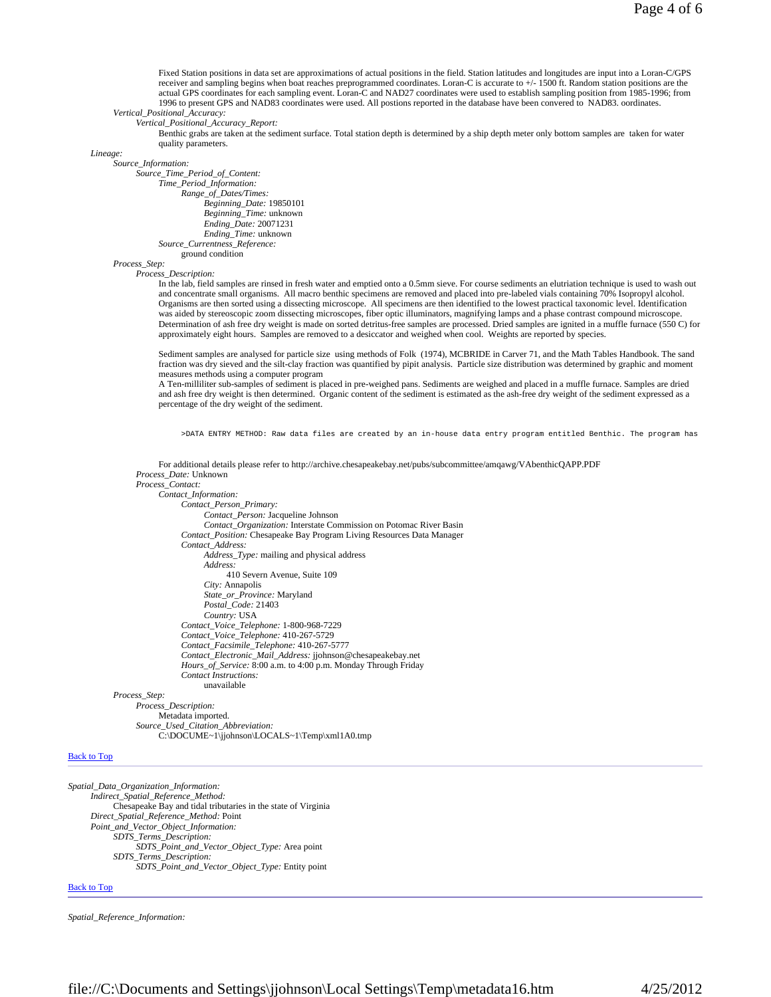Fixed Station positions in data set are approximations of actual positions in the field. Station latitudes and longitudes are input into a Loran-C/GPS receiver and sampling begins when boat reaches preprogrammed coordinates. Loran-C is accurate to +/- 1500 ft. Random station positions are the actual GPS coordinates for each sampling event. Loran-C and NAD27 coordinates were used to establish sampling position from 1985-1996; from 1996 to present GPS and NAD83 coordinates were used. All postions reported in the database have been convered to NAD83. oordinates.

*Vertical\_Positional\_Accuracy:*

*Vertical\_Positional\_Accuracy\_Report:*

Benthic grabs are taken at the sediment surface. Total station depth is determined by a ship depth meter only bottom samples are taken for water quality parameters.

*Lineage:*

*Source\_Information:*

*Source\_Time\_Period\_of\_Content: Time\_Period\_Information: Range\_of\_Dates/Times: Beginning\_Date:* 19850101 *Beginning\_Time:* unknown *Ending\_Date:* 20071231 *Ending\_Time:* unknown *Source\_Currentness\_Reference:* ground condition

*Process\_Step:*

*Process\_Description:*

In the lab, field samples are rinsed in fresh water and emptied onto a 0.5mm sieve. For course sediments an elutriation technique is used to wash out and concentrate small organisms. All macro benthic specimens are removed and placed into pre-labeled vials containing 70% Isopropyl alcohol. Organisms are then sorted using a dissecting microscope. All specimens are then identified to the lowest practical taxonomic level. Identification was aided by stereoscopic zoom dissecting microscopes, fiber optic illuminators, magnifying lamps and a phase contrast compound microscope. Determination of ash free dry weight is made on sorted detritus-free samples are processed. Dried samples are ignited in a muffle furnace (550 C) for approximately eight hours. Samples are removed to a desiccator and weighed when cool. Weights are reported by species.

Sediment samples are analysed for particle size using methods of Folk (1974), MCBRIDE in Carver 71, and the Math Tables Handbook. The sand fraction was dry sieved and the silt-clay fraction was quantified by pipit analysis. Particle size distribution was determined by graphic and moment measures methods using a computer program

A Ten-milliliter sub-samples of sediment is placed in pre-weighed pans. Sediments are weighed and placed in a muffle furnace. Samples are dried and ash free dry weight is then determined. Organic content of the sediment is estimated as the ash-free dry weight of the sediment expressed as a percentage of the dry weight of the sediment.

>DATA ENTRY METHOD: Raw data files are created by an in-house data entry program entitled Benthic. The program has

For additional details please refer to http://archive.chesapeakebay.net/pubs/subcommittee/amqawg/VAbenthicQAPP.PDF *Process\_Date:* Unknown

*Process\_Contact: Contact\_Information: Contact\_Person\_Primary: Contact\_Person:* Jacqueline Johnson *Contact\_Organization:* Interstate Commission on Potomac River Basin *Contact\_Position:* Chesapeake Bay Program Living Resources Data Manager *Contact\_Address: Address\_Type:* mailing and physical address *Address:* 410 Severn Avenue, Suite 109 *City:* Annapolis *State\_or\_Province:* Maryland *Postal\_Code:* 21403 *Country:* USA *Contact\_Voice\_Telephone:* 1-800-968-7229 *Contact\_Voice\_Telephone:* 410-267-5729 *Contact\_Facsimile\_Telephone:* 410-267-5777 *Contact\_Electronic\_Mail\_Address:* jjohnson@chesapeakebay.net *Hours\_of\_Service:* 8:00 a.m. to 4:00 p.m. Monday Through Friday *Contact Instructions:* unavailable *Process\_Step: Process\_Description:* Metadata imported.

*Source\_Used\_Citation\_Abbreviation:* C:\DOCUME~1\jjohnson\LOCALS~1\Temp\xml1A0.tmp

#### Back to Top

*Spatial\_Data\_Organization\_Information: Indirect\_Spatial\_Reference\_Method:* Chesapeake Bay and tidal tributaries in the state of Virginia *Direct\_Spatial\_Reference\_Method:* Point *Point\_and\_Vector\_Object\_Information: SDTS\_Terms\_Description: SDTS\_Point\_and\_Vector\_Object\_Type:* Area point *SDTS\_Terms\_Description: SDTS\_Point\_and\_Vector\_Object\_Type:* Entity point

#### Back to Top

*Spatial\_Reference\_Information:*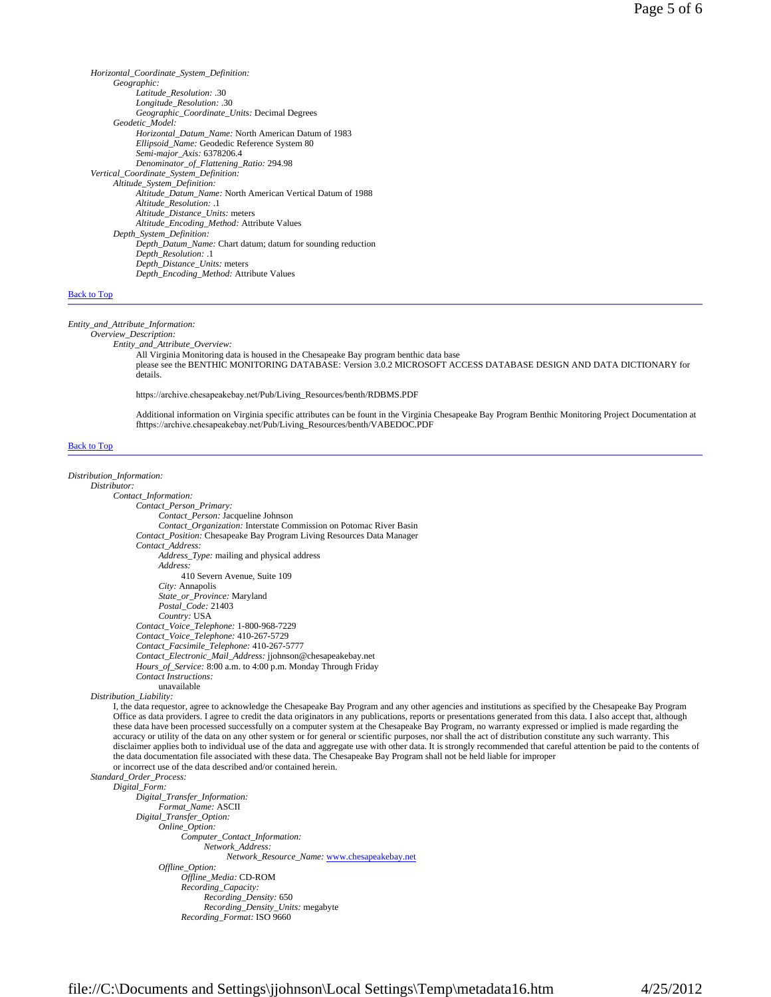*Horizontal\_Coordinate\_System\_Definition: Geographic: Latitude\_Resolution:* .30 *Longitude\_Resolution:* .30 *Geographic\_Coordinate\_Units:* Decimal Degrees *Geodetic\_Model: Horizontal\_Datum\_Name:* North American Datum of 1983 *Ellipsoid\_Name:* Geodedic Reference System 80 *Semi-major\_Axis:* 6378206.4 *Denominator\_of\_Flattening\_Ratio:* 294.98 *Vertical\_Coordinate\_System\_Definition: Altitude\_System\_Definition: Altitude\_Datum\_Name:* North American Vertical Datum of 1988 *Altitude\_Resolution:* .1 *Altitude\_Distance\_Units:* meters *Altitude\_Encoding\_Method:* Attribute Values *Depth\_System\_Definition: Depth\_Datum\_Name:* Chart datum; datum for sounding reduction *Depth\_Resolution:* .1 *Depth\_Distance\_Units:* meters *Depth\_Encoding\_Method:* Attribute Values

#### Back to Top

#### *Entity\_and\_Attribute\_Information:*

# *Overview\_Description:*

*Entity\_and\_Attribute\_Overview:*

All Virginia Monitoring data is housed in the Chesapeake Bay program benthic data base

please see the BENTHIC MONITORING DATABASE: Version 3.0.2 MICROSOFT ACCESS DATABASE DESIGN AND DATA DICTIONARY for details.

https://archive.chesapeakebay.net/Pub/Living\_Resources/benth/RDBMS.PDF

Additional information on Virginia specific attributes can be fount in the Virginia Chesapeake Bay Program Benthic Monitoring Project Documentation at fhttps://archive.chesapeakebay.net/Pub/Living\_Resources/benth/VABEDOC.PDF

## Back to Top

# *Distribution\_Information:*

*Distributor: Contact\_Information: Contact\_Person\_Primary: Contact\_Person:* Jacqueline Johnson *Contact\_Organization:* Interstate Commission on Potomac River Basin *Contact\_Position:* Chesapeake Bay Program Living Resources Data Manager *Contact\_Address: Address\_Type:* mailing and physical address *Address:* 410 Severn Avenue, Suite 109 *City:* Annapolis *State\_or\_Province:* Maryland *Postal\_Code:* 21403 *Country:* USA *Contact\_Voice\_Telephone:* 1-800-968-7229 *Contact\_Voice\_Telephone:* 410-267-5729 *Contact\_Facsimile\_Telephone:* 410-267-5777 *Contact\_Electronic\_Mail\_Address:* jjohnson@chesapeakebay.net *Hours\_of\_Service:* 8:00 a.m. to 4:00 p.m. Monday Through Friday *Contact Instructions:* unavailable

### *Distribution\_Liability:*

I, the data requestor, agree to acknowledge the Chesapeake Bay Program and any other agencies and institutions as specified by the Chesapeake Bay Program Office as data providers. I agree to credit the data originators in any publications, reports or presentations generated from this data. I also accept that, although these data have been processed successfully on a computer system at the Chesapeake Bay Program, no warranty expressed or implied is made regarding the accuracy or utility of the data on any other system or for general or scientific purposes, nor shall the act of distribution constitute any such warranty. This disclaimer applies both to individual use of the data and aggregate use with other data. It is strongly recommended that careful attention be paid to the contents of the data documentation file associated with these data. The Chesapeake Bay Program shall not be held liable for improper or incorrect use of the data described and/or contained herein.

*Standard\_Order\_Process:*

*Digital\_Form:*

*Digital\_Transfer\_Information: Format\_Name:* ASCII *Digital\_Transfer\_Option: Online\_Option: Computer\_Contact\_Information: Network\_Address: Network\_Resource\_Name:* www.chesapeakebay.net *Offline\_Option: Offline\_Media:* CD-ROM *Recording\_Capacity: Recording\_Density:* 650 *Recording\_Density\_Units:* megabyte *Recording\_Format:* ISO 9660